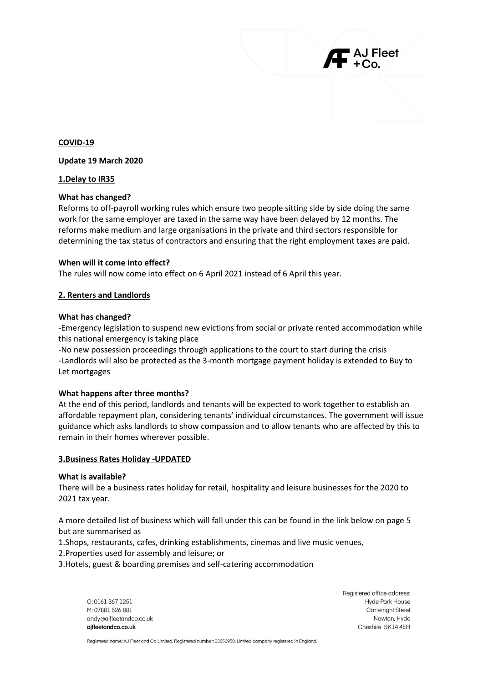## **COVID-19**

# **Update 19 March 2020**

# **1.Delay to IR35**

# **What has changed?**

Reforms to off-payroll working rules which ensure two people sitting side by side doing the same work for the same employer are taxed in the same way have been delayed by 12 months. The reforms make medium and large organisations in the private and third sectors responsible for determining the tax status of contractors and ensuring that the right employment taxes are paid.

# **When will it come into effect?**

The rules will now come into effect on 6 April 2021 instead of 6 April this year.

# **2. Renters and Landlords**

### **What has changed?**

-Emergency legislation to suspend new evictions from social or private rented accommodation while this national emergency is taking place

-No new possession proceedings through applications to the court to start during the crisis -Landlords will also be protected as the 3-month mortgage payment holiday is extended to Buy to Let mortgages

### **What happens after three months?**

At the end of this period, landlords and tenants will be expected to work together to establish an affordable repayment plan, considering tenants' individual circumstances. The government will issue guidance which asks landlords to show compassion and to allow tenants who are affected by this to remain in their homes wherever possible.

### **3.Business Rates Holiday -UPDATED**

### **What is available?**

There will be a business rates holiday for retail, hospitality and leisure businesses for the 2020 to 2021 tax year.

A more detailed list of business which will fall under this can be found in the link below on page 5 but are summarised as

1.Shops, restaurants, cafes, drinking establishments, cinemas and live music venues,

2.Properties used for assembly and leisure; or

3.Hotels, guest & boarding premises and self-catering accommodation

 $O: 01613671251$ M: 07881 526 881 andy@ajfleetandco.co.uk ajfleetandco.co.uk

Registered office address: Hyde Park House **Cartwright Street** Newton, Hyde Cheshire SK14 4EH

J Fleet

Registered name: AJ Fleet and Co Limited. Registered number: 08850958. Limited company registered in England.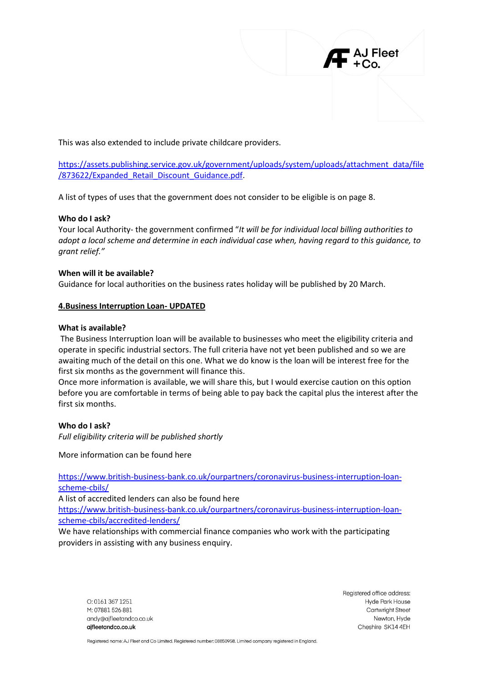

This was also extended to include private childcare providers.

[https://assets.publishing.service.gov.uk/government/uploads/system/uploads/attachment\\_data/file](https://assets.publishing.service.gov.uk/government/uploads/system/uploads/attachment_data/file/873622/Expanded_Retail_Discount_Guidance.pdf) [/873622/Expanded\\_Retail\\_Discount\\_Guidance.pdf.](https://assets.publishing.service.gov.uk/government/uploads/system/uploads/attachment_data/file/873622/Expanded_Retail_Discount_Guidance.pdf)

A list of types of uses that the government does not consider to be eligible is on page 8.

# **Who do I ask?**

Your local Authority- the government confirmed "*It will be for individual local billing authorities to adopt a local scheme and determine in each individual case when, having regard to this guidance, to grant relief."*

# **When will it be available?**

Guidance for local authorities on the business rates holiday will be published by 20 March.

# **4.Business Interruption Loan- UPDATED**

### **What is available?**

The Business Interruption loan will be available to businesses who meet the eligibility criteria and operate in specific industrial sectors. The full criteria have not yet been published and so we are awaiting much of the detail on this one. What we do know is the loan will be interest free for the first six months as the government will finance this.

Once more information is available, we will share this, but I would exercise caution on this option before you are comfortable in terms of being able to pay back the capital plus the interest after the first six months.

### **Who do I ask?**

*Full eligibility criteria will be published shortly*

More information can be found here

[https://www.british-business-bank.co.uk/ourpartners/coronavirus-business-interruption-loan](https://www.british-business-bank.co.uk/ourpartners/coronavirus-business-interruption-loan-scheme-cbils/)[scheme-cbils/](https://www.british-business-bank.co.uk/ourpartners/coronavirus-business-interruption-loan-scheme-cbils/)

A list of accredited lenders can also be found here

[https://www.british-business-bank.co.uk/ourpartners/coronavirus-business-interruption-loan](https://www.british-business-bank.co.uk/ourpartners/coronavirus-business-interruption-loan-scheme-cbils/accredited-lenders/)[scheme-cbils/accredited-lenders/](https://www.british-business-bank.co.uk/ourpartners/coronavirus-business-interruption-loan-scheme-cbils/accredited-lenders/)

We have relationships with commercial finance companies who work with the participating providers in assisting with any business enquiry.

 $O: 01613671251$ M: 07881 526 881 andy@ajfleetandco.co.uk aifleetandco.co.uk

Registered office address: Hyde Park House **Cartwright Street** Newton, Hyde Cheshire SK14 4EH

Registered name: AJ Fleet and Co Limited. Registered number: 08850958. Limited company registered in England.